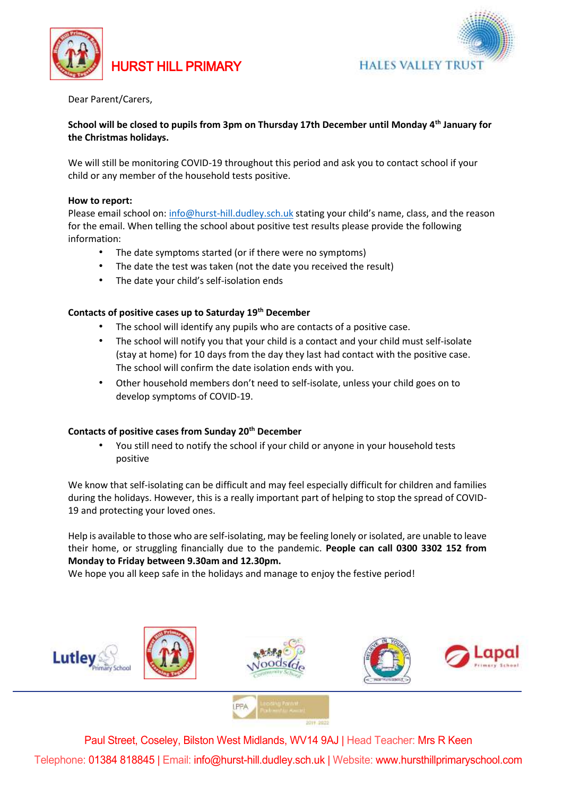

HURST HILL PRIMARY



Dear Parent/Carers,

# **School will be closed to pupils from 3pm on Thursday 17th December until Monday 4th January for the Christmas holidays.**

We will still be monitoring COVID-19 throughout this period and ask you to contact school if your child or any member of the household tests positive.

## **How to report:**

Please email school on[: info@hurst-hill.dudley.sch.uk](mailto:info@hurst-hill.dudley.sch.uk) stating your child's name, class, and the reason for the email. When telling the school about positive test results please provide the following information:

- The date symptoms started (or if there were no symptoms)
- The date the test was taken (not the date you received the result)
- The date your child's self-isolation ends

## **Contacts of positive cases up to Saturday 19th December**

- The school will identify any pupils who are contacts of a positive case.
- The school will notify you that your child is a contact and your child must self-isolate (stay at home) for 10 days from the day they last had contact with the positive case. The school will confirm the date isolation ends with you.
- Other household members don't need to self-isolate, unless your child goes on to develop symptoms of COVID-19.

## **Contacts of positive cases from Sunday 20th December**

• You still need to notify the school if your child or anyone in your household tests positive

We know that self-isolating can be difficult and may feel especially difficult for children and families during the holidays. However, this is a really important part of helping to stop the spread of COVID-19 and protecting your loved ones.

Help is available to those who are self-isolating, may be feeling lonely or isolated, are unable to leave their home, or struggling financially due to the pandemic. **People can call 0300 3302 152 from Monday to Friday between 9.30am and 12.30pm.** 

We hope you all keep safe in the holidays and manage to enjoy the festive period!





Paul Street, Coseley, Bilston West Midlands, WV14 9AJ | Head Teacher: Mrs R Keen Telephone: 01384 818845 | Email: info@hurst-hill.dudley.sch.uk | Website: www.hursthillprimaryschool.com